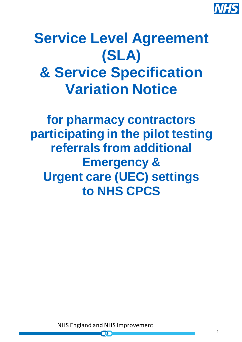

# **Service Level Agreement (SLA) & Service Specification Variation Notice**

**for pharmacy contractors participating in the pilot testing referrals from additional Emergency & Urgent care (UEC) settings to NHS CPCS**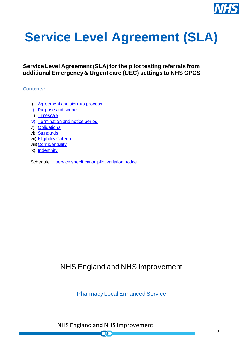

# **Service Level Agreement (SLA)**

## **Service Level Agreement (SLA) for the pilot testing referrals from additional Emergency & Urgent care (UEC) settings to NHS CPCS**

#### **Contents:**

- i) [Agreement and sign-up process](#page-2-0)
- ii) Purpose [and scope](#page-2-1)
- iii) [Timescale](#page-3-0)
- iv) Termination [and notice period](#page-3-1)
- v) [Obligations](#page-3-2)
- vi) [Standards](#page-3-3)
- vii) [Eligibility Criteria](#page-4-0)
- viii[\)Confidentiality](#page-4-1)
- ix) [Indemnity](#page-4-2)

Schedule 1[: service specification pilot variation notice](#page-5-0)

# NHS England and NHS Improvement

Pharmacy Local Enhanced Service

NHS England and NHS Improvement

nГ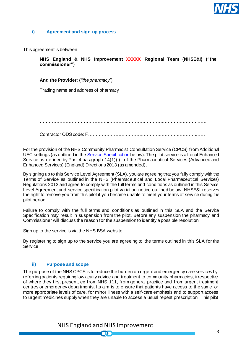

#### <span id="page-2-0"></span>**i) Agreement and sign-up process**

This agreement is between

**NHS England & NHS Improvement XXXXX Regional Team (NHSE&I) ("the commissioner")**

**And the Provider:** (*"the pharmacy"*)

Trading name and address of pharmacy

………………………………………………………………………………………………… …………………………………………………………………………………………………

…………………………………………………………………………………………………

Contractor ODS code: F……………………………………………………………………

For the provision of the NHS Community Pharmacist Consultation Service (CPCS) from Additional UEC settings (as outlined in th[e Service Specification](#page-5-0) below).The pilot service is a Local Enhanced Service as defined by Part 4 paragraph 14(1)(j) - of the Pharmaceutical Services (Advanced and Enhanced Services) (England) Directions 2013 (as amended).

By signing up to this Service Level Agreement (SLA), you are agreeing that you fully comply with the Terms of Service as outlined in the NHS (Pharmaceutical and Local Pharmaceutical Services) Regulations 2013 and agree to comply with the full terms and conditions as outlined in this Service Level Agreement and service specification pilot variation notice outlined below. NHSE&I reserves the right to remove you from this pilot if you become unable to meet your terms of service during the pilot period.

Failure to comply with the full terms and conditions as outlined in this SLA and the Service Specification may result in suspension from the pilot. Before any suspension the pharmacy and Commissioner will discuss the reason for the suspension to identify a possible resolution.

Sign up to the service is via the NHS BSA website.

By registering to sign up to the service you are agreeing to the terms outlined in this SLA for the Service.

#### <span id="page-2-1"></span>**ii) Purpose and scope**

The purpose of the NHS CPCS is to reduce the burden on urgent and emergency care services by referring patients requiring low acuity advice and treatment to community pharmacies, irrespective of where they first present, eg from NHS 111, from general practice and from urgent treatment centres or emergency departments. Its aim is to ensure that patients have access to the same or more appropriate levels of care, for minor illness with a self-care emphasis and to support access to urgent medicines supply when they are unable to access a usual repeat prescription. This pilot

> NHS England and NHS Improvement  $\blacksquare$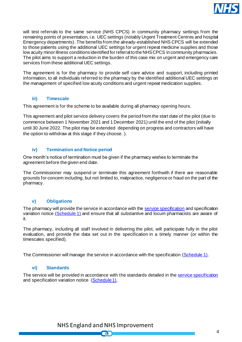

will test referrals to the same service (NHS CPCS) in community pharmacy settings from the remaining points of presentation, i.e. UEC settings (notably Urgent Treatment Centres and hospital Emergency departments). The benefits from the already-established NHS CPCS will be extended to those patients using the additional UEC settings for urgent repeat medicine supplies and those low acuity minor illness conditions identified for referral to the NHS CPCS in community pharmacies. The pilot aims to support a reduction in the burden of this case mix on urgent and emergency care services from these additional UEC settings.

The agreement is for the pharmacy to provide self-care advice and support, including printed information, to all individuals referred to the pharmacy by the identified additional UEC settings on the management of specified low acuity conditions and urgent repeat medication supplies.

#### **iii) Timescale**

<span id="page-3-0"></span>This agreement is for the scheme to be available during all pharmacy opening hours.

This agreement and pilot service delivery covers the period from the start date of the pilot (due to commence between 1 November 2021 and 1 December 2021) until the end of the pilot (initially until 30 June 2022. The pilot may be extended depending on progress and contractors will have the option to withdraw at this stage if they choose. ).

#### **iv) Termination and Notice period**

<span id="page-3-1"></span>One month's notice of termination must be given if the pharmacy wishes to terminate the agreement before the given end date.

The Commissioner may suspend or terminate this agreement forthwith if there are reasonable grounds for concern including, but not limited to, malpractice, negligence or fraud on the part of the pharmacy.

#### <span id="page-3-2"></span>**v) Obligations**

The pharmacy will provide the service in accordance with th[e service specification](https://www.england.nhs.uk/wp-content/uploads/2019/10/CPCS-Advanced-Service-Specification.pdf) and specification variation notice [\(Schedule 1\)](#page-5-0) and ensure that all substantive and locum pharmacists are aware of it.

The pharmacy, including all staff involved in delivering the pilot, will participate fully in the pilot evaluation, and provide the data set out in the specification in a timely manner (or within the timescales specified).

<span id="page-3-3"></span>The Commissioner will manage the service in accordance with the specification [\(Schedule 1\)](#page-5-0).

#### **vi) Standards**

The service will be provided in accordance with the standards detailed in the [service specification](https://www.england.nhs.uk/wp-content/uploads/2019/10/CPCS-Advanced-Service-Specification.pdf) and specification variation notice [\(Schedule 1\)](#page-5-0).

> NHS England and NHS Improvement  $\blacksquare$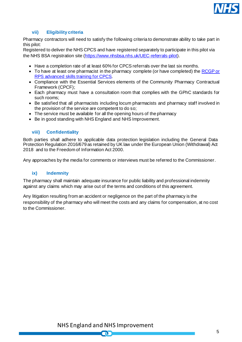

#### **vii) Eligibility criteria**

<span id="page-4-0"></span>Pharmacy contractors will need to satisfy the following criteria to demonstrate ability to take part in this pilot:

Registered to deliver the NHS CPCS and have registered separately to participate in this pilot via the NHS BSA registration site [\(https://www.nhsbsa.nhs.uk/UEC-referrals-pilot](https://www.nhsbsa.nhs.uk/UEC-referrals-pilot)).

- Have a completion rate of at least 60% for CPCS referrals over the last six months.
- To have at least one pharmacist in the pharmacy complete (or have completed) the RCGP or [RPS advanced skills training for CPCS.](https://www.rpharms.com/events/cpcs-events)
- Compliance with the Essential Services elements of the Community Pharmacy Contractual Framework (CPCF);
- Each pharmacy must have a consultation room that complies with the GPhC standards for such rooms;
- Be satisfied that all pharmacists including locum pharmacists and pharmacy staff involved in the provision of the service are competent to do so;
- The service must be available for all the opening hours of the pharmacy
- Be in good standing with NHS England and NHS Improvement.

#### <span id="page-4-1"></span>**viii) Confidentiality**

Both parties shall adhere to applicable data protection legislation including the General Data Protection Regulation 2016/679 as retained by UK law under the European Union (Withdrawal) Act 2018 and to the Freedom of Information Act 2000.

<span id="page-4-2"></span>Any approaches by the media for comments or interviews must be referred to the Commissioner.

#### **ix) Indemnity**

The pharmacy shall maintain adequate insurance for public liability and professional indemnity against any claims which may arise out of the terms and conditions of this agreement.

Any litigation resulting from an accident or negligence on the part of the pharmacy is the responsibility of the pharmacy who will meet the costs and any claims for compensation, at no cost to the Commissioner.

NHS England and NHS Improvement

N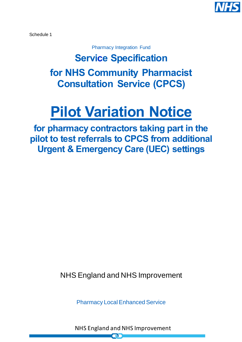

<span id="page-5-0"></span>Schedule 1

Pharmacy Integration Fund

**Service Specification for NHS Community Pharmacist Consultation Service (CPCS)**

# **Pilot Variation Notice**

**for pharmacy contractors taking part in the pilot to test referrals to CPCS from additional Urgent & Emergency Care (UEC) settings**

NHS England and NHS Improvement

Pharmacy Local Enhanced Service

NHS England and NHS Improvement

P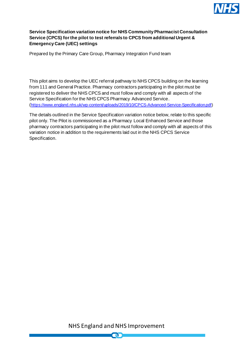

#### **Service Specification variation notice for NHS Community Pharmacist Consultation Service (CPCS) for the pilot to test referrals to CPCS from additional Urgent & Emergency Care (UEC) settings**

Prepared by the Primary Care Group, Pharmacy Integration Fund team

This pilot aims to develop the UEC referral pathway to NHS CPCS building on the learning from 111 and General Practice. Pharmacy contractors participating in the pilot must be registered to deliver the NHS CPCS and must follow and comply with all aspects of the Service Specification for the NHS CPCS Pharmacy Advanced Service. (<https://www.england.nhs.uk/wp-content/uploads/2019/10/CPCS-Advanced-Service-Specification.pdf>)

The details outlined in the Service Specification variation notice below, relate to this specific pilot only. The Pilot is commissioned as a Pharmacy Local Enhanced Service and those pharmacy contractors participating in the pilot must follow and comply with all aspects of this variation notice in addition to the requirements laid out in the NHS CPCS Service Specification.

NHS England and NHS Improvement

 $\blacksquare$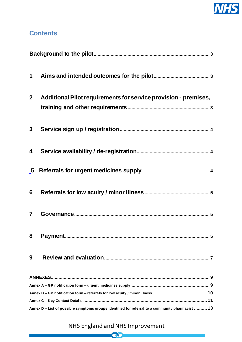

## **Contents**

| 2 <sub>2</sub> | Additional Pilot requirements for service provision - premises,                                  |
|----------------|--------------------------------------------------------------------------------------------------|
| 3 <sup>1</sup> |                                                                                                  |
| 4              |                                                                                                  |
|                |                                                                                                  |
| 6              |                                                                                                  |
| $\overline{7}$ |                                                                                                  |
| 8              |                                                                                                  |
| 9              |                                                                                                  |
|                |                                                                                                  |
|                |                                                                                                  |
|                |                                                                                                  |
|                |                                                                                                  |
|                | Annex D – List of possible symptoms groups identified for referral to a community pharmacist  13 |

# NHS England and NHS Improvement

**CD**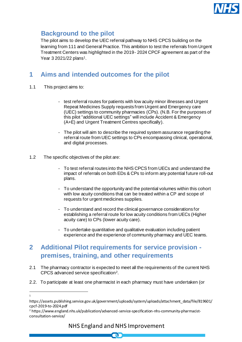

# <span id="page-8-0"></span>**Background to the pilot**

The pilot aims to develop the UEC referral pathway to NHS CPCS building on the learning from 111 and General Practice. This ambition to test the referrals from Urgent Treatment Centers was highlighted in the 2019- 2024 CPCF agreement as part of the Year 3 2021/22 plans<sup>1</sup>.

# <span id="page-8-1"></span>**1 Aims and intended outcomes for the pilot**

- 1.1 This project aims to:
	- test referral routes for patients with low acuity minor illnesses and Urgent Repeat Medicines Supply requests from Urgent and Emergency care (UEC) settings to community pharmacies (CPs). (N.B. For the purposes of this pilot "additional UEC settings" will include Accident & Emergency (A+E) and Urgent Treatment Centres specifically).
	- The pilot will aim to describe the required system assurance regarding the referral route from UEC settings to CPs encompassing clinical, operational, and digital processes.
- 1.2 The specific objectives of the pilot are:
	- To test referral routes into the NHS CPCS from UECs and understand the impact of referrals on both EDs & CPs to inform any potential future roll-out plans.
	- To understand the opportunity and the potential volumes within this cohort with low acuity conditions that can be treated within a CP and scope of requests for urgent medicines supplies.
	- To understand and record the clinical governance considerations for establishing a referral route for low acuity conditions from UECs (Higher acuity care) to CPs (lower acuity care).
	- To undertake quantitative and qualitative evaluation including patient experience and the experience of community pharmacy and UEC teams.

# <span id="page-8-2"></span>**2 Additional Pilot requirements for service provision premises, training, and other requirements**

- 2.1 The pharmacy contractor is expected to meet all the requirements of the current NHS CPCS advanced service specification<sup>2</sup> .
- 2.2. To participate at least one pharmacist in each pharmacy must have undertaken (or

<sup>1</sup>

https://assets.publishing.service.gov.uk/government/uploads/system/uploads/attachment\_data/file/819601/ cpcf-2019-to-2024.pdf

<sup>&</sup>lt;sup>2</sup> https://www.england.nhs.uk/publication/advanced-service-specification-nhs-community-pharmacistconsultation-service/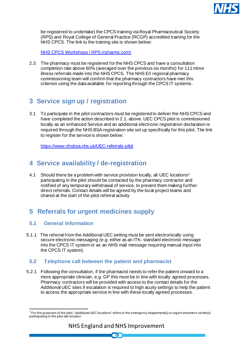

be registered to undertake) the CPCS training via Royal Pharmaceutical Society (RPS) and Royal College of General Practice (RCGP) accredited training for the NHS CPCS. The link to the training site is shown below:

[NHS CPCS Workshops | RPS \(rpharms.com\)](https://www.rpharms.com/events/cpcs-events)

2.3 The pharmacy must be registered for the NHS CPCS and have a consultation completion rate above 60% (averaged over the previous six months) for 111 minor illness referrals made into the NHS CPCS. The NHS E/I regional pharmacy commissioning team will confirm that the pharmacy contractors have met this criterion using the data available for reporting through the CPCS IT systems.

# <span id="page-9-0"></span>**3 Service sign up / registration**

3.1 To participate in the pilot contractors must be registered to deliver the NHS CPCS and have completed the action described in 2.1. above. UEC CPCS pilot is commissioned locally as an enhanced Service and an additional electronic registration declaration is required through the NHS BSA registration site set up specifically for this pilot. The link to register for the service is shown below:

<https://www.nhsbsa.nhs.uk/UEC-referrals-pilot>

## <span id="page-9-1"></span>**4 Service availability / de-registration**

4.1 Should there be a problem with service provision locally, all UEC locations<sup>3</sup> participating in the pilot should be contacted by the pharmacy contractor and notified of any temporary withdrawal of service, to prevent them making further direct referrals. Contact details will be agreed by the local project teams and shared at the start of the pilot referral activity

# <span id="page-9-2"></span>**5 Referrals for urgent medicines supply**

### **5.1 General Information**

5.1.1 The referral from the Additional UEC setting must be sent electronically using secure electronic messaging (e.g. either as an ITK- standard electronic message into the CPCS IT system or as an NHS mail message requiring manual input into the CPCS IT system).

## **5.2 Telephone call between the patient and pharmacist**

5.2.1 Following the consultation, if the pharmacist needs to refer the patient onward to a more appropriate clinician, e.g. GP this must be in line with locally agreed processes. Pharmacy contractors will be provided with access to the contact details for the Additional UEC sites if escalation is required to high acuity settings to help the patient to access the appropriate service in line with these locally agreed processes.

 $^3$  For the purposes of the pilot, "additional UEC locations" refers to the emergency department(s) or urgent treatment centre(s) participating in the pilot site location

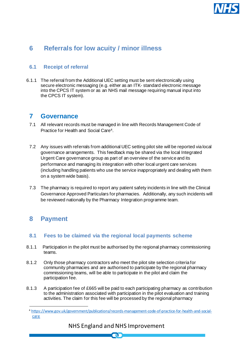

## <span id="page-10-0"></span>**6 Referrals for low acuity / minor illness**

### **6.1 Receipt of referral**

6.1.1 The referral from the Additional UEC setting must be sent electronically using secure electronic messaging (e.g. either as an ITK- standard electronic message into the CPCS IT system or as an NHS mail message requiring manual input into the CPCS IT system).

## <span id="page-10-1"></span>**7 Governance**

- 7.1 All relevant records must be managed in line with Records Management Code of Practice for Health and Social Care<sup>4</sup> .
- 7.2 Any issues with referrals from additional UEC setting pilot site will be reported via local governance arrangements. This feedback may be shared via the local Integrated Urgent Care governance group as part of an overview of the service and its performance and managing its integration with other local urgent care services (including handling patients who use the service inappropriately and dealing with them on a system wide basis).
- 7.3 The pharmacy is required to report any patient safety incidents in line with the Clinical Governance Approved Particulars for pharmacies. Additionally, any such incidents will be reviewed nationally by the Pharmacy Integration programme team.

## <span id="page-10-2"></span>**8 Payment**

### **8.1 Fees to be claimed via the regional local payments scheme**

- 8.1.1 Participation in the pilot must be authorised by the regional pharmacy commissioning teams.
- 8.1.2 Only those pharmacy contractors who meet the pilot site selection criteria for community pharmacies and are authorised to participate by the regional pharmacy commissioning teams, will be able to participate in the pilot and claim the participation fee.
- 8.1.3 A participation fee of £665 will be paid to each participating pharmacy as contribution to the administration associated with participation in the pilot evaluation and training activities. The claim for this fee will be processed by the regional pharmacy

## NHS England and NHS Improvement

n.

<sup>4</sup> [https://www.gov.uk/government/publications/records-management-code-of-practice-for-health-and-social](https://www.gov.uk/government/publications/records-management-code-of-practice-for-health-and-social-care)[care](https://www.gov.uk/government/publications/records-management-code-of-practice-for-health-and-social-care)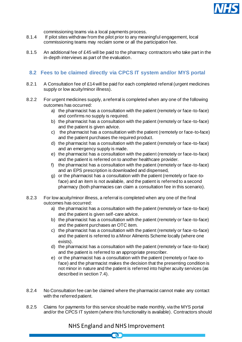

commissioning teams via a local payments process.

- 8.1.4 If pilot sites withdraw from the pilot prior to any meaningful engagement, local commissioning teams may reclaim some or all the participation fee.
- 8.1.5 An additional fee of £45 will be paid to the pharmacy contractors who take part in the in-depth interviews as part of the evaluation.

## **8.2 Fees to be claimed directly via CPCS IT system and/or MYS portal**

- 8.2.1 A Consultation fee of £14 will be paid for each completed referral (urgent medicines supply or low acuity/minor illness).
- 8.2.2 For urgent medicines supply, a referral is completed when any one of the following outcomes has occurred:
	- a) the pharmacist has a consultation with the patient (remotely or face-to-face) and confirms no supply is required.
	- b) the pharmacist has a consultation with the patient (remotely or face-to-face) and the patient is given advice.
	- c) the pharmacist has a consultation with the patient (remotely or face-to-face) and the patient purchases the required product.
	- d) the pharmacist has a consultation with the patient (remotely or face-to-face) and an emergency supply is made.
	- e) the pharmacist has a consultation with the patient (remotely or face-to-face) and the patient is referred on to another healthcare provider.
	- f) the pharmacist has a consultation with the patient (remotely or face-to-face) and an EPS prescription is downloaded and dispensed,
	- g) or the pharmacist has a consultation with the patient (remotely or face-toface) and an item is not available, and the patient is referred to a second pharmacy (both pharmacies can claim a consultation fee in this scenario).
- 8.2.3 For low acuity/minor illness, a referral is completed when any one of the final outcomes has occurred:
	- a) the pharmacist has a consultation with the patient (remotely or face-to-face) and the patient is given self-care advice.
	- b) the pharmacist has a consultation with the patient (remotely or face-to-face) and the patient purchases an OTC item.
	- c) the pharmacist has a consultation with the patient (remotely or face-to-face) and the patient is referred to a Minor Ailments Scheme locally (where one exists).
	- d) the pharmacist has a consultation with the patient (remotely or face-to-face) and the patient is referred to an appropriate prescriber.
	- e) or the pharmacist has a consultation with the patient (remotely or face-toface) and the pharmacist makes the decision that the presenting condition is not minor in nature and the patient is referred into higher acuity services (as described in section 7.4).
- 8.2.4 No Consultation fee can be claimed where the pharmacist cannot make any contact with the referred patient.
- 8.2.5 Claims for payments for this service should be made monthly, via the MYS portal and/or the CPCS IT system (where this functionality is available). Contractors should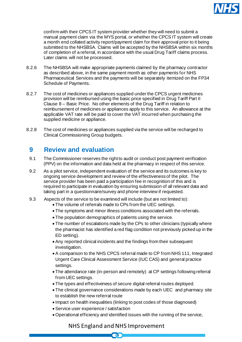

confirm with their CPCS IT system provider whether they will need to submit a manual payment claim via the MYS portal, or whether the CPCS IT system will create a month end collated activity report/payment claim for their approval prior to it being submitted to the NHSBSA. Claims will be accepted by the NHSBSA within six months of completion of a referral, in accordance with the usual Drug Tariff claims process. Later claims will not be processed.

- 8.2.6 The NHSBSA will make appropriate payments claimed by the pharmacy contractor as described above, in the same payment month as other payments for NHS Pharmaceutical Services and the payments will be separately itemized on the FP34 Schedule of Payments.
- 8.2.7 The cost of medicines or appliances supplied under the CPCS urgent medicines provision will be reimbursed using the basic price specified in Drug Tariff Part II Clause 8 – Basic Price. No other elements of the Drug Tariff in relation to reimbursement of medicines or appliances apply to this service. An allowance at the applicable VAT rate will be paid to cover the VAT incurred when purchasing the supplied medicine or appliance.
- 8.2.8 The cost of medicines or appliances supplied via the service will be recharged to Clinical Commissioning Group budgets.

## <span id="page-12-0"></span>**9 Review and evaluation**

- 9.1 The Commissioner reserves the right to audit or conduct post payment verification (PPV) on the information and data held at the pharmacy in respect of this service.
- 9.2 As a pilot service, independent evaluation of the service and its outcomes is key to ongoing service development and review of the effectiveness of the pilot. The service provider has been paid a participation fee in recognition of this and is required to participate in evaluation by ensuring submission of all relevant data and taking part in a questionnaire/survey and phone interview if requested.
- 9.3 Aspects of the service to be examined will include (but are not limited to):
	- The volume of referrals made to CPs from the UEC settings.
	- The symptoms and minor illness conditions associated with the referrals.
	- The population demographics of patients using the service.
	- The number of escalations made by the CPs to other clinicians (typically where the pharmacist has identified a red flag condition not previously picked up in the ED setting).
	- Any reported clinical incidents and the findings from their subsequent investigation.
	- A comparison to the NHS CPCS referral made to CP from NHS 111, Integrated Urgent Care Clinical Assessment Service (IUC CAS) and general practice settings.
	- The attendance rate (in-person and remotely) at CP settings following referral from UEC settings.
	- The types and effectiveness of secure digital referral routes deployed.
	- The clinical governance considerations made by each UEC and pharmacy site to establish the new referral route
	- Impact on health inequalities (linking to post codes of those diagnosed)
	- Service user experience / satisfaction
	- Operational efficiency and identified issues with the running of the service,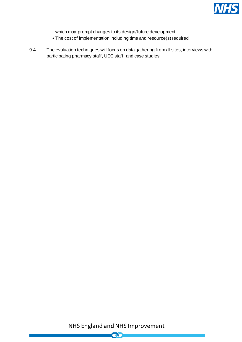

which may prompt changes to its design/future development

- The cost of implementation including time and resource(s) required.
- 9.4 The evaluation techniques will focus on data gathering from all sites, interviews with participating pharmacy staff, UEC staff and case studies.

NHS England and NHS Improvement

 $\bullet$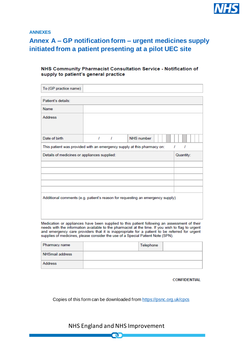

<span id="page-14-0"></span>**ANNEXES**

# <span id="page-14-1"></span>**Annex A – GP notification form – urgent medicines supply initiated from a patient presenting at a pilot UEC site**

#### NHS Community Pharmacist Consultation Service - Notification of supply to patient's general practice

| To (GP practice name)                                                                                                                                                                                                                                                                                                                                                                 |                                                           |          |                   |        |
|---------------------------------------------------------------------------------------------------------------------------------------------------------------------------------------------------------------------------------------------------------------------------------------------------------------------------------------------------------------------------------------|-----------------------------------------------------------|----------|-------------------|--------|
| Patient's details:                                                                                                                                                                                                                                                                                                                                                                    |                                                           |          |                   |        |
| <b>Name</b>                                                                                                                                                                                                                                                                                                                                                                           |                                                           |          |                   |        |
| <b>Address</b>                                                                                                                                                                                                                                                                                                                                                                        |                                                           |          |                   |        |
| Date of birth                                                                                                                                                                                                                                                                                                                                                                         | $\mathbf{I}$                                              | $\prime$ | <b>NHS</b> number |        |
| This patient was provided with an emergency supply at this pharmacy on:                                                                                                                                                                                                                                                                                                               |                                                           |          |                   | T<br>1 |
|                                                                                                                                                                                                                                                                                                                                                                                       | Details of medicines or appliances supplied:<br>Quantity: |          |                   |        |
|                                                                                                                                                                                                                                                                                                                                                                                       |                                                           |          |                   |        |
|                                                                                                                                                                                                                                                                                                                                                                                       |                                                           |          |                   |        |
|                                                                                                                                                                                                                                                                                                                                                                                       |                                                           |          |                   |        |
|                                                                                                                                                                                                                                                                                                                                                                                       |                                                           |          |                   |        |
| Additional comments (e.g. patient's reason for requesting an emergency supply)                                                                                                                                                                                                                                                                                                        |                                                           |          |                   |        |
| Medication or appliances have been supplied to this patient following an assessment of their<br>needs with the information available to the pharmacist at the time. If you wish to flag to urgent<br>and emergency care providers that it is inappropriate for a patient to be referred for urgent<br>supplies of medicines, please consider the use of a Special Patient Note (SPN). |                                                           |          |                   |        |

| Pharmacy name   | Telephone |  |
|-----------------|-----------|--|
| NHSmail address |           |  |
| Address         |           |  |

**CONFIDENTIAL** 

Copies of this form can be downloaded fro[m https://psnc.org.uk/cpcs](https://psnc.org.uk/cpcs)

## NHS England and NHS Improvement

**OD**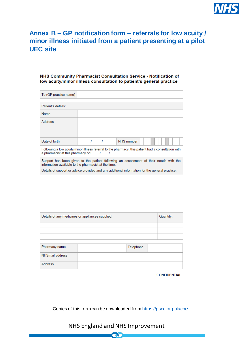

# <span id="page-15-0"></span>**Annex B – GP notification form – referrals for low acuity / minor illness initiated from a patient presenting at a pilot UEC site**

#### NHS Community Pharmacist Consultation Service - Notification of low acuity/minor illness consultation to patient's general practice

| To (GP practice name)                                                                                                                                                                                                                           |                                                                                                               |                   |  |  |
|-------------------------------------------------------------------------------------------------------------------------------------------------------------------------------------------------------------------------------------------------|---------------------------------------------------------------------------------------------------------------|-------------------|--|--|
| Patient's details:                                                                                                                                                                                                                              |                                                                                                               |                   |  |  |
| <b>Name</b>                                                                                                                                                                                                                                     |                                                                                                               |                   |  |  |
| <b>Address</b>                                                                                                                                                                                                                                  |                                                                                                               |                   |  |  |
| Date of birth                                                                                                                                                                                                                                   | T<br>T                                                                                                        | <b>NHS</b> number |  |  |
| a pharmacist at this pharmacy on:                                                                                                                                                                                                               | Following a low acuity/minor illness referral to the pharmacy, this patient had a consultation with<br>1<br>, |                   |  |  |
| Support has been given to the patient following an assessment of their needs with the<br>information available to the pharmacist at the time.<br>Details of support or advice provided and any additional information for the general practice: |                                                                                                               |                   |  |  |
|                                                                                                                                                                                                                                                 |                                                                                                               |                   |  |  |
|                                                                                                                                                                                                                                                 |                                                                                                               |                   |  |  |
|                                                                                                                                                                                                                                                 |                                                                                                               |                   |  |  |
| Details of any medicines or appliances supplied:<br>Quantity:                                                                                                                                                                                   |                                                                                                               |                   |  |  |
|                                                                                                                                                                                                                                                 |                                                                                                               |                   |  |  |
|                                                                                                                                                                                                                                                 |                                                                                                               |                   |  |  |
|                                                                                                                                                                                                                                                 |                                                                                                               |                   |  |  |
| Pharmacy name                                                                                                                                                                                                                                   |                                                                                                               | Telephone         |  |  |
| <b>NHSmail address</b>                                                                                                                                                                                                                          |                                                                                                               |                   |  |  |
| <b>Address</b>                                                                                                                                                                                                                                  |                                                                                                               |                   |  |  |

**CONFIDENTIAL** 

Copies of this form can be downloaded fro[m https://psnc.org.uk/cpcs](https://psnc.org.uk/cpcs)

## NHS England and NHS Improvement

ה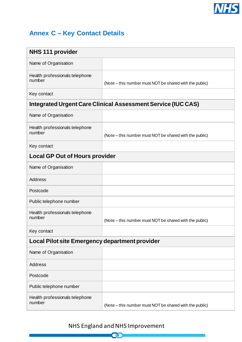

# <span id="page-16-0"></span>**Annex C – Key Contact Details**

| <b>NHS 111 provider</b>                                             |                                                         |  |  |
|---------------------------------------------------------------------|---------------------------------------------------------|--|--|
| Name of Organisation                                                |                                                         |  |  |
| Health professionals telephone<br>number                            | (Note – this number must NOT be shared with the public) |  |  |
| Key contact                                                         |                                                         |  |  |
| <b>Integrated Urgent Care Clinical Assessment Service (IUC CAS)</b> |                                                         |  |  |
| Name of Organisation                                                |                                                         |  |  |
| Health professionals telephone<br>number                            | (Note – this number must NOT be shared with the public) |  |  |
| Key contact                                                         |                                                         |  |  |
| <b>Local GP Out of Hours provider</b>                               |                                                         |  |  |
| Name of Organisation                                                |                                                         |  |  |
| <b>Address</b>                                                      |                                                         |  |  |
| Postcode                                                            |                                                         |  |  |
| Public telephone number                                             |                                                         |  |  |
| Health professionals telephone<br>number                            | (Note – this number must NOT be shared with the public) |  |  |
| Key contact                                                         |                                                         |  |  |
| Local Pilot site Emergency department provider                      |                                                         |  |  |
| Name of Organisation                                                |                                                         |  |  |
| <b>Address</b>                                                      |                                                         |  |  |
| Postcode                                                            |                                                         |  |  |
| Public telephone number                                             |                                                         |  |  |
| Health professionals telephone<br>number                            | (Note – this number must NOT be shared with the public) |  |  |

# NHS England and NHS Improvement

3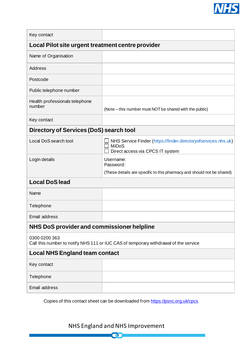

| Key contact                                                                                           |                                                                                                                    |  |  |
|-------------------------------------------------------------------------------------------------------|--------------------------------------------------------------------------------------------------------------------|--|--|
| Local Pilot site urgent treatment centre provider                                                     |                                                                                                                    |  |  |
| Name of Organisation                                                                                  |                                                                                                                    |  |  |
| Address                                                                                               |                                                                                                                    |  |  |
| Postcode                                                                                              |                                                                                                                    |  |  |
| Public telephone number                                                                               |                                                                                                                    |  |  |
| Health professionals telephone<br>number                                                              | (Note – this number must NOT be shared with the public)                                                            |  |  |
| Key contact                                                                                           |                                                                                                                    |  |  |
| Directory of Services (DoS) search tool                                                               |                                                                                                                    |  |  |
| Local DoS search tool                                                                                 | NHS Service Finder (https://finder.directoryofservices.nhs.uk)<br><b>MiDoS</b><br>Direct access via CPCS IT system |  |  |
| Login details                                                                                         | Username:<br>Password:<br>(These details are specific to this pharmacy and should not be shared)                   |  |  |
| <b>Local DoS lead</b>                                                                                 |                                                                                                                    |  |  |
| Name                                                                                                  |                                                                                                                    |  |  |
|                                                                                                       |                                                                                                                    |  |  |
| Telephone                                                                                             |                                                                                                                    |  |  |
| Email address                                                                                         |                                                                                                                    |  |  |
| NHS DoS provider and commissioner helpline                                                            |                                                                                                                    |  |  |
| 0300 0200 363<br>Call this number to notify NHS 111 or IUC CAS of temporary withdrawal of the service |                                                                                                                    |  |  |
| <b>Local NHS England team contact</b>                                                                 |                                                                                                                    |  |  |
| Key contact                                                                                           |                                                                                                                    |  |  |
| Telephone                                                                                             |                                                                                                                    |  |  |
| Email address                                                                                         |                                                                                                                    |  |  |

Copies of this contact sheet can be downloaded fro[m https://psnc.org.uk/cpcs](https://psnc.org.uk/cpcs)

NHS England and NHS Improvement

**Q**